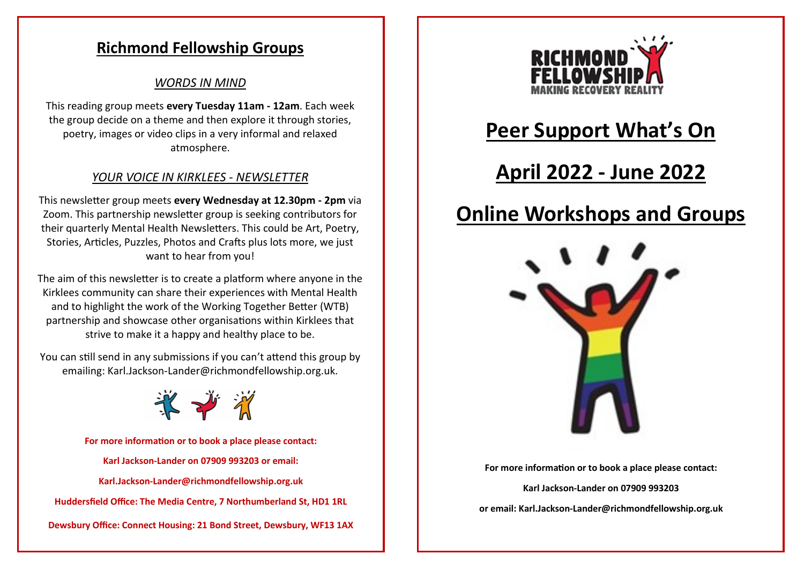## **Richmond Fellowship Groups**

### *WORDS IN MIND*

This reading group meets **every Tuesday 11am - 12am**. Each week the group decide on a theme and then explore it through stories, poetry, images or video clips in a very informal and relaxed atmosphere.

## *YOUR VOICE IN KIRKLEES - NEWSLETTER*

This newsletter group meets **every Wednesday at 12.30pm - 2pm** via Zoom. This partnership newsletter group is seeking contributors for their quarterly Mental Health Newsletters. This could be Art, Poetry, Stories, Articles, Puzzles, Photos and Crafts plus lots more, we just want to hear from you!

The aim of this newsletter is to create a platform where anyone in the Kirklees community can share their experiences with Mental Health and to highlight the work of the Working Together Better (WTB) partnership and showcase other organisations within Kirklees that strive to make it a happy and healthy place to be.

You can still send in any submissions if you can't attend this group by emailing: Karl.Jackson-Lander@richmondfellowship.org.uk.



**For more information or to book a place please contact: Karl Jackson-Lander on 07909 993203 or email: Karl.Jackson-[Lander@richmondfellowship.org.uk](mailto:hannah.moradi@richmondfellowship.org.uk) Huddersfield Office: The Media Centre, 7 Northumberland St, HD1 1RL Dewsbury Office: Connect Housing: 21 Bond Street, Dewsbury, WF13 1AX**



## **Peer Support What's On**

## **April 2022 - June 2022**

## **Online Workshops and Groups**



**For more information or to book a place please contact:** 

**Karl Jackson-Lander on 07909 993203**

**or email: Karl.Jackson-[Lander@richmondfellowship.org.uk](mailto:hannah.moradi@richmondfellowship.org.uk)**